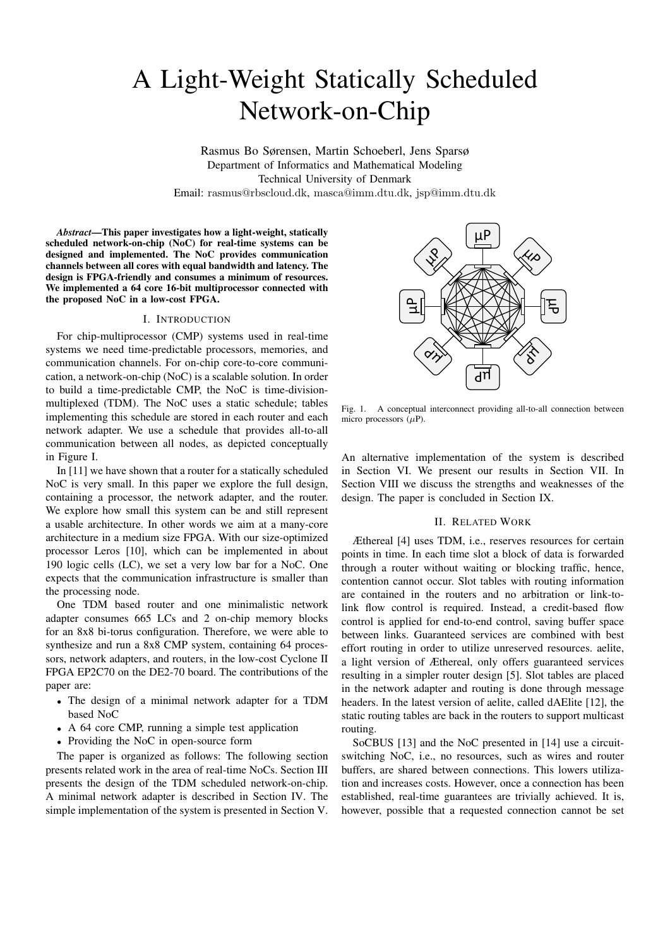# A Light-Weight Statically Scheduled Network-on-Chip

Rasmus Bo Sørensen, Martin Schoeberl, Jens Sparsø Department of Informatics and Mathematical Modeling Technical University of Denmark Email: [rasmus@rbscloud.dk](mailto:rasmus@rbscloud.dk), [masca@imm.dtu.dk](mailto:masca@imm.dtu.dk), [jsp@imm.dtu.dk](mailto:jsp@imm.dtu.dk)

*Abstract*—This paper investigates how a light-weight, statically scheduled network-on-chip (NoC) for real-time systems can be designed and implemented. The NoC provides communication channels between all cores with equal bandwidth and latency. The design is FPGA-friendly and consumes a minimum of resources. We implemented a 64 core 16-bit multiprocessor connected with the proposed NoC in a low-cost FPGA.

#### I. INTRODUCTION

<span id="page-0-0"></span>For chip-multiprocessor (CMP) systems used in real-time systems we need time-predictable processors, memories, and communication channels. For on-chip core-to-core communication, a network-on-chip (NoC) is a scalable solution. In order to build a time-predictable CMP, the NoC is time-divisionmultiplexed (TDM). The NoC uses a static schedule; tables implementing this schedule are stored in each router and each network adapter. We use a schedule that provides all-to-all communication between all nodes, as depicted conceptually in Figure [I.](#page-0-0)

In [\[11\]](#page-5-0) we have shown that a router for a statically scheduled NoC is very small. In this paper we explore the full design, containing a processor, the network adapter, and the router. We explore how small this system can be and still represent a usable architecture. In other words we aim at a many-core architecture in a medium size FPGA. With our size-optimized processor Leros [\[10\]](#page-5-1), which can be implemented in about 190 logic cells (LC), we set a very low bar for a NoC. One expects that the communication infrastructure is smaller than the processing node.

One TDM based router and one minimalistic network adapter consumes 665 LCs and 2 on-chip memory blocks for an 8x8 bi-torus configuration. Therefore, we were able to synthesize and run a 8x8 CMP system, containing 64 processors, network adapters, and routers, in the low-cost Cyclone II FPGA EP2C70 on the DE2-70 board. The contributions of the paper are:

- The design of a minimal network adapter for a TDM based NoC
- A 64 core CMP, running a simple test application
- Providing the NoC in open-source form

The paper is organized as follows: The following section presents related work in the area of real-time NoCs. Section [III](#page-1-0) presents the design of the TDM scheduled network-on-chip. A minimal network adapter is described in Section [IV.](#page-2-0) The simple implementation of the system is presented in Section [V.](#page-2-1)



Fig. 1. A conceptual interconnect providing all-to-all connection between micro processors  $(\mu P)$ .

An alternative implementation of the system is described in Section [VI.](#page-3-0) We present our results in Section [VII.](#page-3-1) In Section [VIII](#page-4-0) we discuss the strengths and weaknesses of the design. The paper is concluded in Section [IX.](#page-5-2)

# II. RELATED WORK

Æthereal [\[4\]](#page-5-3) uses TDM, i.e., reserves resources for certain points in time. In each time slot a block of data is forwarded through a router without waiting or blocking traffic, hence, contention cannot occur. Slot tables with routing information are contained in the routers and no arbitration or link-tolink flow control is required. Instead, a credit-based flow control is applied for end-to-end control, saving buffer space between links. Guaranteed services are combined with best effort routing in order to utilize unreserved resources. aelite, a light version of Æthereal, only offers guaranteed services resulting in a simpler router design [\[5\]](#page-5-4). Slot tables are placed in the network adapter and routing is done through message headers. In the latest version of aelite, called dAElite [\[12\]](#page-5-5), the static routing tables are back in the routers to support multicast routing.

SoCBUS [\[13\]](#page-5-6) and the NoC presented in [\[14\]](#page-5-7) use a circuitswitching NoC, i.e., no resources, such as wires and router buffers, are shared between connections. This lowers utilization and increases costs. However, once a connection has been established, real-time guarantees are trivially achieved. It is, however, possible that a requested connection cannot be set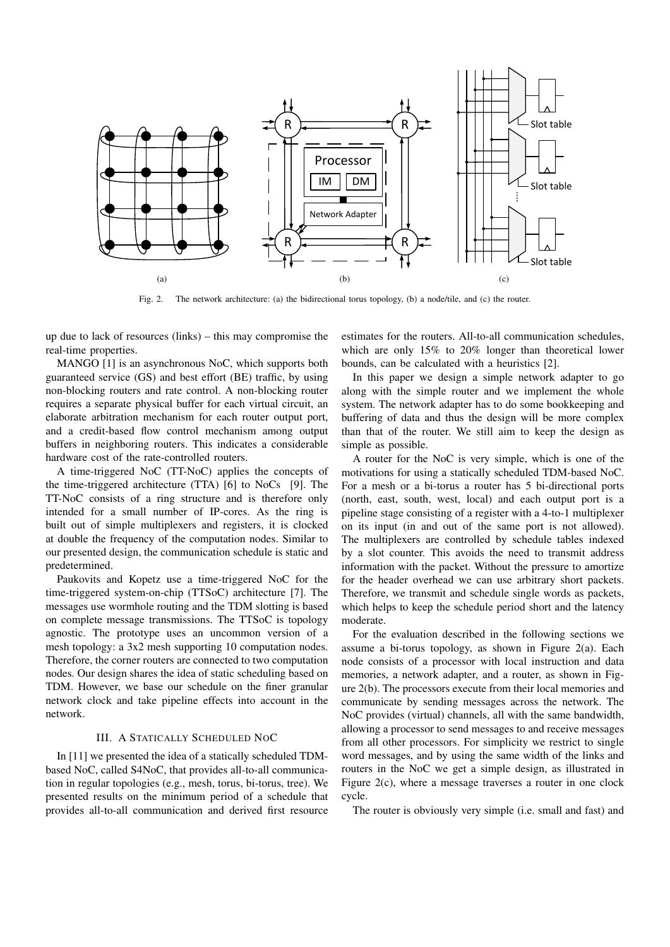

<span id="page-1-1"></span>Fig. 2. The network architecture: (a) the bidirectional torus topology, (b) a node/tile, and (c) the router.

up due to lack of resources (links) – this may compromise the real-time properties.

MANGO [\[1\]](#page-5-8) is an asynchronous NoC, which supports both guaranteed service (GS) and best effort (BE) traffic, by using non-blocking routers and rate control. A non-blocking router requires a separate physical buffer for each virtual circuit, an elaborate arbitration mechanism for each router output port, and a credit-based flow control mechanism among output buffers in neighboring routers. This indicates a considerable hardware cost of the rate-controlled routers.

A time-triggered NoC (TT-NoC) applies the concepts of the time-triggered architecture (TTA) [\[6\]](#page-5-9) to NoCs [\[9\]](#page-5-10). The TT-NoC consists of a ring structure and is therefore only intended for a small number of IP-cores. As the ring is built out of simple multiplexers and registers, it is clocked at double the frequency of the computation nodes. Similar to our presented design, the communication schedule is static and predetermined.

Paukovits and Kopetz use a time-triggered NoC for the time-triggered system-on-chip (TTSoC) architecture [\[7\]](#page-5-11). The messages use wormhole routing and the TDM slotting is based on complete message transmissions. The TTSoC is topology agnostic. The prototype uses an uncommon version of a mesh topology: a 3x2 mesh supporting 10 computation nodes. Therefore, the corner routers are connected to two computation nodes. Our design shares the idea of static scheduling based on TDM. However, we base our schedule on the finer granular network clock and take pipeline effects into account in the network.

### III. A STATICALLY SCHEDULED NOC

<span id="page-1-0"></span>In [\[11\]](#page-5-0) we presented the idea of a statically scheduled TDMbased NoC, called S4NoC, that provides all-to-all communication in regular topologies (e.g., mesh, torus, bi-torus, tree). We presented results on the minimum period of a schedule that provides all-to-all communication and derived first resource

estimates for the routers. All-to-all communication schedules, which are only 15% to 20% longer than theoretical lower bounds, can be calculated with a heuristics [\[2\]](#page-5-12).

In this paper we design a simple network adapter to go along with the simple router and we implement the whole system. The network adapter has to do some bookkeeping and buffering of data and thus the design will be more complex than that of the router. We still aim to keep the design as simple as possible.

A router for the NoC is very simple, which is one of the motivations for using a statically scheduled TDM-based NoC. For a mesh or a bi-torus a router has 5 bi-directional ports (north, east, south, west, local) and each output port is a pipeline stage consisting of a register with a 4-to-1 multiplexer on its input (in and out of the same port is not allowed). The multiplexers are controlled by schedule tables indexed by a slot counter. This avoids the need to transmit address information with the packet. Without the pressure to amortize for the header overhead we can use arbitrary short packets. Therefore, we transmit and schedule single words as packets, which helps to keep the schedule period short and the latency moderate.

For the evaluation described in the following sections we assume a bi-torus topology, as shown in Figure [2\(](#page-1-1)a). Each node consists of a processor with local instruction and data memories, a network adapter, and a router, as shown in Figure [2\(](#page-1-1)b). The processors execute from their local memories and communicate by sending messages across the network. The NoC provides (virtual) channels, all with the same bandwidth, allowing a processor to send messages to and receive messages from all other processors. For simplicity we restrict to single word messages, and by using the same width of the links and routers in the NoC we get a simple design, as illustrated in Figure [2\(](#page-1-1)c), where a message traverses a router in one clock cycle.

The router is obviously very simple (i.e. small and fast) and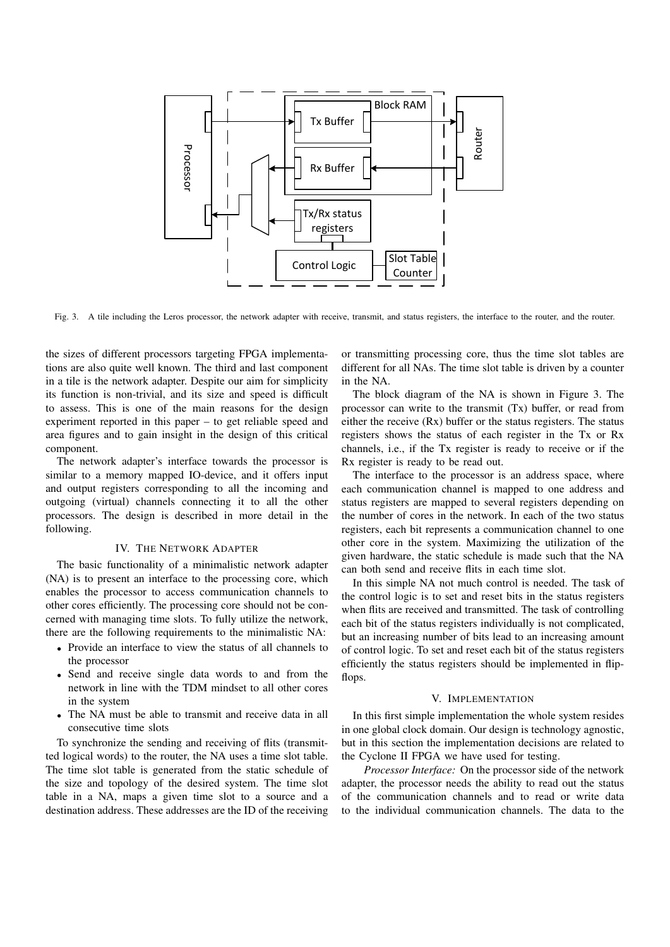

<span id="page-2-2"></span>Fig. 3. A tile including the Leros processor, the network adapter with receive, transmit, and status registers, the interface to the router, and the router.

the sizes of different processors targeting FPGA implementations are also quite well known. The third and last component in a tile is the network adapter. Despite our aim for simplicity its function is non-trivial, and its size and speed is difficult to assess. This is one of the main reasons for the design experiment reported in this paper – to get reliable speed and area figures and to gain insight in the design of this critical component.

The network adapter's interface towards the processor is similar to a memory mapped IO-device, and it offers input and output registers corresponding to all the incoming and outgoing (virtual) channels connecting it to all the other processors. The design is described in more detail in the following.

## IV. THE NETWORK ADAPTER

<span id="page-2-0"></span>The basic functionality of a minimalistic network adapter (NA) is to present an interface to the processing core, which enables the processor to access communication channels to other cores efficiently. The processing core should not be concerned with managing time slots. To fully utilize the network, there are the following requirements to the minimalistic NA:

- Provide an interface to view the status of all channels to the processor
- Send and receive single data words to and from the network in line with the TDM mindset to all other cores in the system
- The NA must be able to transmit and receive data in all consecutive time slots

To synchronize the sending and receiving of flits (transmitted logical words) to the router, the NA uses a time slot table. The time slot table is generated from the static schedule of the size and topology of the desired system. The time slot table in a NA, maps a given time slot to a source and a destination address. These addresses are the ID of the receiving

or transmitting processing core, thus the time slot tables are different for all NAs. The time slot table is driven by a counter in the NA.

The block diagram of the NA is shown in Figure [3.](#page-2-2) The processor can write to the transmit (Tx) buffer, or read from either the receive (Rx) buffer or the status registers. The status registers shows the status of each register in the Tx or Rx channels, i.e., if the Tx register is ready to receive or if the Rx register is ready to be read out.

The interface to the processor is an address space, where each communication channel is mapped to one address and status registers are mapped to several registers depending on the number of cores in the network. In each of the two status registers, each bit represents a communication channel to one other core in the system. Maximizing the utilization of the given hardware, the static schedule is made such that the NA can both send and receive flits in each time slot.

In this simple NA not much control is needed. The task of the control logic is to set and reset bits in the status registers when flits are received and transmitted. The task of controlling each bit of the status registers individually is not complicated, but an increasing number of bits lead to an increasing amount of control logic. To set and reset each bit of the status registers efficiently the status registers should be implemented in flipflops.

### V. IMPLEMENTATION

<span id="page-2-1"></span>In this first simple implementation the whole system resides in one global clock domain. Our design is technology agnostic, but in this section the implementation decisions are related to the Cyclone II FPGA we have used for testing.

*Processor Interface:* On the processor side of the network adapter, the processor needs the ability to read out the status of the communication channels and to read or write data to the individual communication channels. The data to the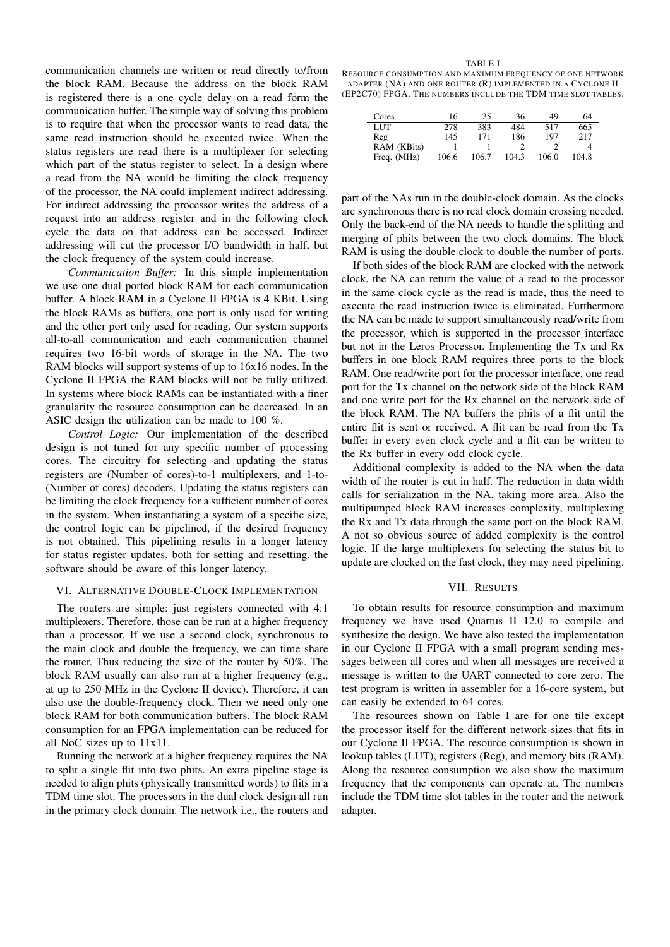communication channels are written or read directly to/from the block RAM. Because the address on the block RAM is registered there is a one cycle delay on a read form the communication buffer. The simple way of solving this problem is to require that when the processor wants to read data, the same read instruction should be executed twice. When the status registers are read there is a multiplexer for selecting which part of the status register to select. In a design where a read from the NA would be limiting the clock frequency of the processor, the NA could implement indirect addressing. For indirect addressing the processor writes the address of a request into an address register and in the following clock cycle the data on that address can be accessed. Indirect addressing will cut the processor I/O bandwidth in half, but the clock frequency of the system could increase.

*Communication Buffer:* In this simple implementation we use one dual ported block RAM for each communication buffer. A block RAM in a Cyclone II FPGA is 4 KBit. Using the block RAMs as buffers, one port is only used for writing and the other port only used for reading. Our system supports all-to-all communication and each communication channel requires two 16-bit words of storage in the NA. The two RAM blocks will support systems of up to 16x16 nodes. In the Cyclone II FPGA the RAM blocks will not be fully utilized. In systems where block RAMs can be instantiated with a finer granularity the resource consumption can be decreased. In an ASIC design the utilization can be made to 100 %.

*Control Logic:* Our implementation of the described design is not tuned for any specific number of processing cores. The circuitry for selecting and updating the status registers are (Number of cores)-to-1 multiplexers, and 1-to- (Number of cores) decoders. Updating the status registers can be limiting the clock frequency for a sufficient number of cores in the system. When instantiating a system of a specific size, the control logic can be pipelined, if the desired frequency is not obtained. This pipelining results in a longer latency for status register updates, both for setting and resetting, the software should be aware of this longer latency.

#### <span id="page-3-0"></span>VI. ALTERNATIVE DOUBLE-CLOCK IMPLEMENTATION

The routers are simple: just registers connected with 4:1 multiplexers. Therefore, those can be run at a higher frequency than a processor. If we use a second clock, synchronous to the main clock and double the frequency, we can time share the router. Thus reducing the size of the router by 50%. The block RAM usually can also run at a higher frequency (e.g., at up to 250 MHz in the Cyclone II device). Therefore, it can also use the double-frequency clock. Then we need only one block RAM for both communication buffers. The block RAM consumption for an FPGA implementation can be reduced for all NoC sizes up to 11x11.

Running the network at a higher frequency requires the NA to split a single flit into two phits. An extra pipeline stage is needed to align phits (physically transmitted words) to flits in a TDM time slot. The processors in the dual clock design all run in the primary clock domain. The network i.e., the routers and

<span id="page-3-2"></span>RESOURCE CONSUMPTION AND MAXIMUM FREQUENCY OF ONE NETWORK ADAPTER (NA) AND ONE ROUTER (R) IMPLEMENTED IN A CYCLONE II (EP2C70) FPGA. THE NUMBERS INCLUDE THE TDM TIME SLOT TABLES.

| Cores       | 16    | 25    | 36    | 49    | 64    |
|-------------|-------|-------|-------|-------|-------|
| LUT         | 278   | 383   | 484   | 517   | 665   |
| Reg         | 145   | 171   | 186   | 197   | 217   |
| RAM (KBits) |       |       |       |       |       |
| Freq. (MHz) | 106.6 | 106.7 | 104.3 | 106.0 | 104.8 |

part of the NAs run in the double-clock domain. As the clocks are synchronous there is no real clock domain crossing needed. Only the back-end of the NA needs to handle the splitting and merging of phits between the two clock domains. The block RAM is using the double clock to double the number of ports.

If both sides of the block RAM are clocked with the network clock, the NA can return the value of a read to the processor in the same clock cycle as the read is made, thus the need to execute the read instruction twice is eliminated. Furthermore the NA can be made to support simultaneously read/write from the processor, which is supported in the processor interface but not in the Leros Processor. Implementing the Tx and Rx buffers in one block RAM requires three ports to the block RAM. One read/write port for the processor interface, one read port for the Tx channel on the network side of the block RAM and one write port for the Rx channel on the network side of the block RAM. The NA buffers the phits of a flit until the entire flit is sent or received. A flit can be read from the Tx buffer in every even clock cycle and a flit can be written to the Rx buffer in every odd clock cycle.

Additional complexity is added to the NA when the data width of the router is cut in half. The reduction in data width calls for serialization in the NA, taking more area. Also the multipumped block RAM increases complexity, multiplexing the Rx and Tx data through the same port on the block RAM. A not so obvious source of added complexity is the control logic. If the large multiplexers for selecting the status bit to update are clocked on the fast clock, they may need pipelining.

#### VII. RESULTS

<span id="page-3-1"></span>To obtain results for resource consumption and maximum frequency we have used Quartus II 12.0 to compile and synthesize the design. We have also tested the implementation in our Cyclone II FPGA with a small program sending messages between all cores and when all messages are received a message is written to the UART connected to core zero. The test program is written in assembler for a 16-core system, but can easily be extended to 64 cores.

The resources shown on Table [I](#page-3-2) are for one tile except the processor itself for the different network sizes that fits in our Cyclone II FPGA. The resource consumption is shown in lookup tables (LUT), registers (Reg), and memory bits (RAM). Along the resource consumption we also show the maximum frequency that the components can operate at. The numbers include the TDM time slot tables in the router and the network adapter.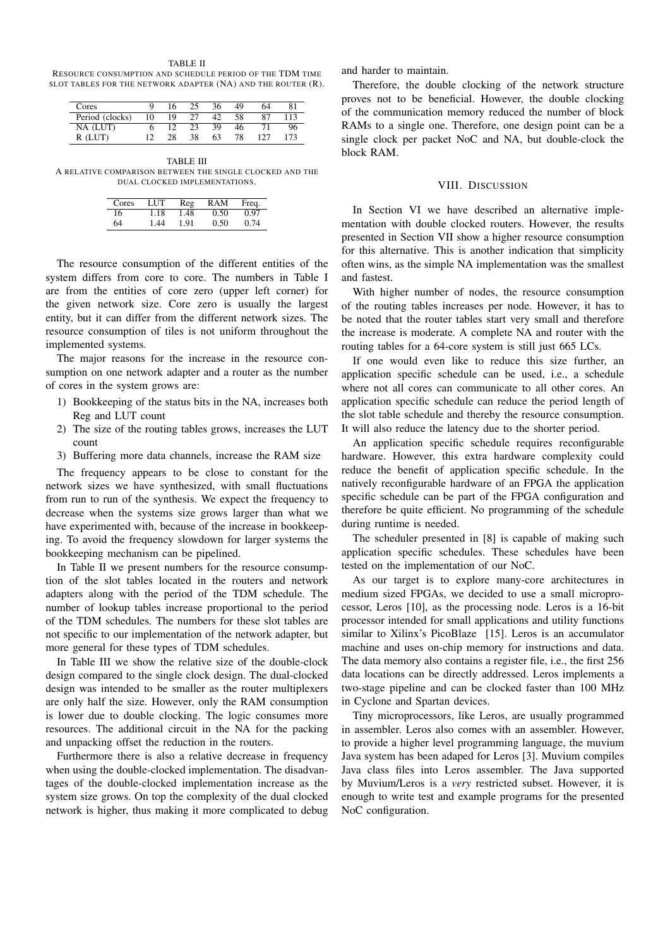<span id="page-4-1"></span>TABLE II RESOURCE CONSUMPTION AND SCHEDULE PERIOD OF THE TDM TIME SLOT TABLES FOR THE NETWORK ADAPTER (NA) AND THE ROUTER (R).

| Cores           |    | 16 |    | 36 | 49 | 64  |     |
|-----------------|----|----|----|----|----|-----|-----|
| Period (clocks) | 10 | 19 |    | 42 | 58 | 87  | 113 |
| NA (LUT)        |    |    | 23 | 39 | 46 |     | 96  |
| R (LUT)         |    | 28 | 38 | 63 | 78 | 127 | 173 |

<span id="page-4-2"></span>TABLE III A RELATIVE COMPARISON BETWEEN THE SINGLE CLOCKED AND THE DUAL CLOCKED IMPLEMENTATIONS.

| Cores | LUT  | Reg  | RAM  | Freq. |
|-------|------|------|------|-------|
| 16    | 1.18 | 1.48 | 0.50 | 0.97  |
| 64    | 1.44 | 1.91 | 0.50 | 0.74  |

The resource consumption of the different entities of the system differs from core to core. The numbers in Table [I](#page-3-2) are from the entities of core zero (upper left corner) for the given network size. Core zero is usually the largest entity, but it can differ from the different network sizes. The resource consumption of tiles is not uniform throughout the implemented systems.

The major reasons for the increase in the resource consumption on one network adapter and a router as the number of cores in the system grows are:

- 1) Bookkeeping of the status bits in the NA, increases both Reg and LUT count
- 2) The size of the routing tables grows, increases the LUT count
- 3) Buffering more data channels, increase the RAM size

The frequency appears to be close to constant for the network sizes we have synthesized, with small fluctuations from run to run of the synthesis. We expect the frequency to decrease when the systems size grows larger than what we have experimented with, because of the increase in bookkeeping. To avoid the frequency slowdown for larger systems the bookkeeping mechanism can be pipelined.

In Table [II](#page-4-1) we present numbers for the resource consumption of the slot tables located in the routers and network adapters along with the period of the TDM schedule. The number of lookup tables increase proportional to the period of the TDM schedules. The numbers for these slot tables are not specific to our implementation of the network adapter, but more general for these types of TDM schedules.

In Table [III](#page-4-2) we show the relative size of the double-clock design compared to the single clock design. The dual-clocked design was intended to be smaller as the router multiplexers are only half the size. However, only the RAM consumption is lower due to double clocking. The logic consumes more resources. The additional circuit in the NA for the packing and unpacking offset the reduction in the routers.

Furthermore there is also a relative decrease in frequency when using the double-clocked implementation. The disadvantages of the double-clocked implementation increase as the system size grows. On top the complexity of the dual clocked network is higher, thus making it more complicated to debug

and harder to maintain.

Therefore, the double clocking of the network structure proves not to be beneficial. However, the double clocking of the communication memory reduced the number of block RAMs to a single one. Therefore, one design point can be a single clock per packet NoC and NA, but double-clock the block RAM.

#### VIII. DISCUSSION

<span id="page-4-0"></span>In Section [VI](#page-3-0) we have described an alternative implementation with double clocked routers. However, the results presented in Section [VII](#page-3-1) show a higher resource consumption for this alternative. This is another indication that simplicity often wins, as the simple NA implementation was the smallest and fastest.

With higher number of nodes, the resource consumption of the routing tables increases per node. However, it has to be noted that the router tables start very small and therefore the increase is moderate. A complete NA and router with the routing tables for a 64-core system is still just 665 LCs.

If one would even like to reduce this size further, an application specific schedule can be used, i.e., a schedule where not all cores can communicate to all other cores. An application specific schedule can reduce the period length of the slot table schedule and thereby the resource consumption. It will also reduce the latency due to the shorter period.

An application specific schedule requires reconfigurable hardware. However, this extra hardware complexity could reduce the benefit of application specific schedule. In the natively reconfigurable hardware of an FPGA the application specific schedule can be part of the FPGA configuration and therefore be quite efficient. No programming of the schedule during runtime is needed.

The scheduler presented in [\[8\]](#page-5-13) is capable of making such application specific schedules. These schedules have been tested on the implementation of our NoC.

As our target is to explore many-core architectures in medium sized FPGAs, we decided to use a small microprocessor, Leros [\[10\]](#page-5-1), as the processing node. Leros is a 16-bit processor intended for small applications and utility functions similar to Xilinx's PicoBlaze [\[15\]](#page-5-14). Leros is an accumulator machine and uses on-chip memory for instructions and data. The data memory also contains a register file, i.e., the first 256 data locations can be directly addressed. Leros implements a two-stage pipeline and can be clocked faster than 100 MHz in Cyclone and Spartan devices.

Tiny microprocessors, like Leros, are usually programmed in assembler. Leros also comes with an assembler. However, to provide a higher level programming language, the muvium Java system has been adaped for Leros [\[3\]](#page-5-15). Muvium compiles Java class files into Leros assembler. The Java supported by Muvium/Leros is a *very* restricted subset. However, it is enough to write test and example programs for the presented NoC configuration.